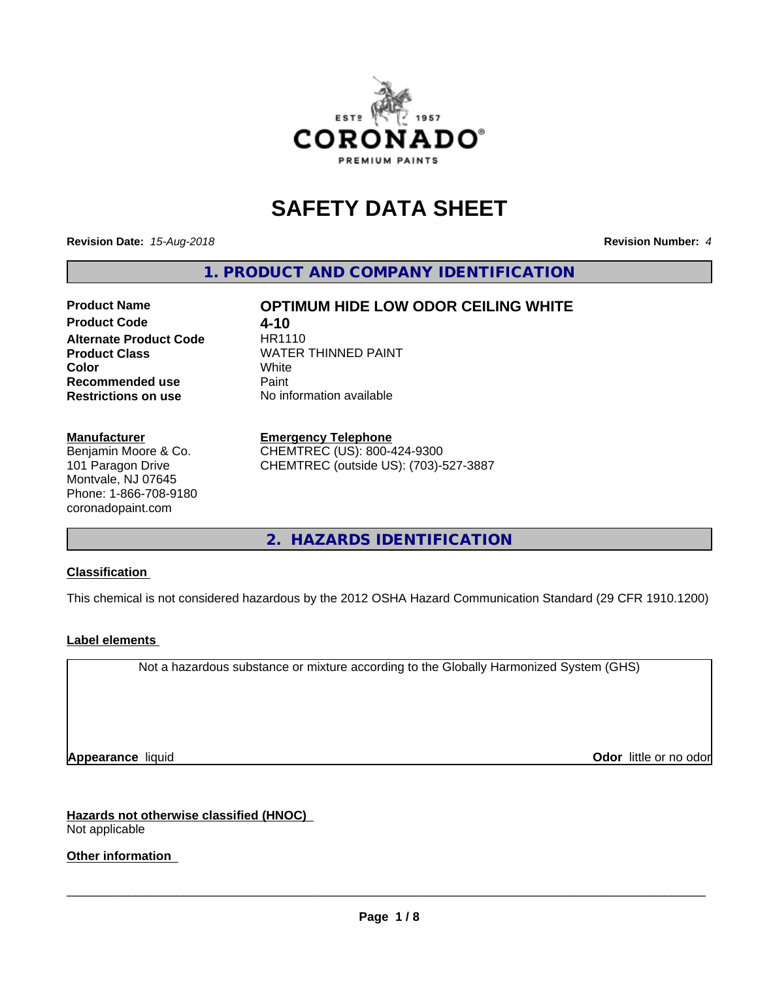

# **SAFETY DATA SHEET**

**Revision Date:** *15-Aug-2018* **Revision Number:** *4*

**1. PRODUCT AND COMPANY IDENTIFICATION**

# **Product Name OPTIMUM HIDE LOW ODOR CEILING WHITE Product Code 4-10**<br>**Alternate Product Code** HR1110 **Alternate Product Code Product Class** WATER THINNED PAINT<br>
Color **Recommended use Caint Restrictions on use** No information available

**Color** White White

**Manufacturer**

Benjamin Moore & Co. 101 Paragon Drive Montvale, NJ 07645 Phone: 1-866-708-9180 coronadopaint.com

#### **Emergency Telephone**

CHEMTREC (US): 800-424-9300 CHEMTREC (outside US): (703)-527-3887

**2. HAZARDS IDENTIFICATION**

## **Classification**

This chemical is not considered hazardous by the 2012 OSHA Hazard Communication Standard (29 CFR 1910.1200)

## **Label elements**

Not a hazardous substance or mixture according to the Globally Harmonized System (GHS)

**Appearance** liquid **Contract Contract Contract Contract Contract Contract Contract Contract Contract Contract Contract Contract Contract Contract Contract Contract Contract Contract Contract Contract Contract Contract Con** 

**Hazards not otherwise classified (HNOC)** Not applicable

**Other information**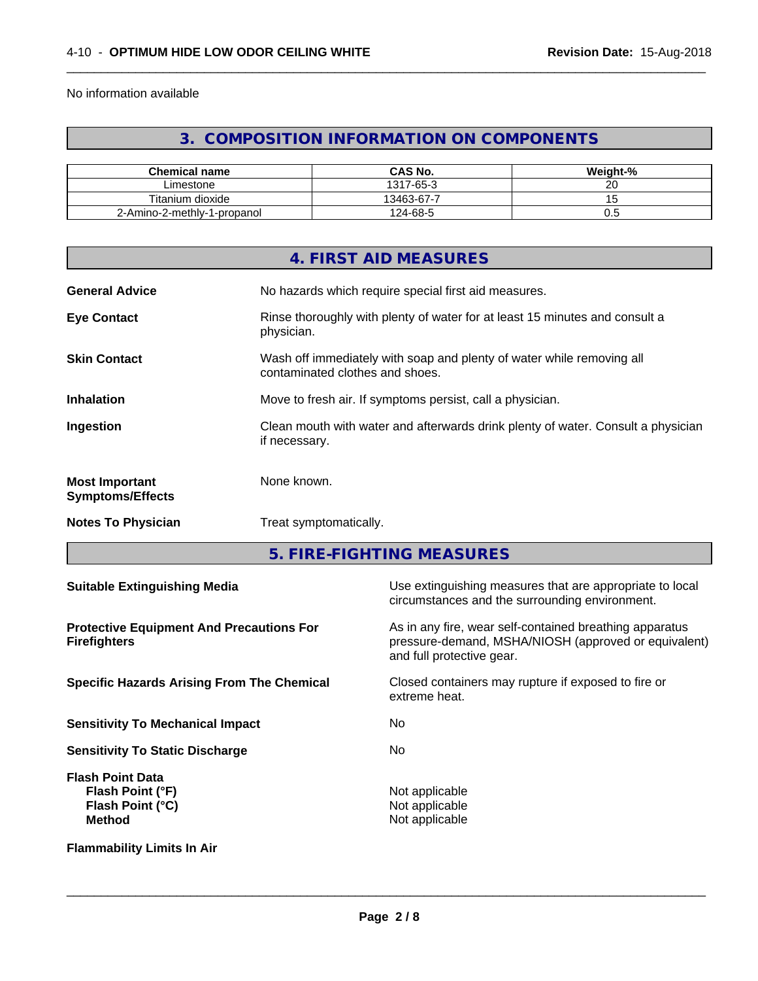No information available

# **3. COMPOSITION INFORMATION ON COMPONENTS**

 $\overline{\phantom{a}}$  ,  $\overline{\phantom{a}}$  ,  $\overline{\phantom{a}}$  ,  $\overline{\phantom{a}}$  ,  $\overline{\phantom{a}}$  ,  $\overline{\phantom{a}}$  ,  $\overline{\phantom{a}}$  ,  $\overline{\phantom{a}}$  ,  $\overline{\phantom{a}}$  ,  $\overline{\phantom{a}}$  ,  $\overline{\phantom{a}}$  ,  $\overline{\phantom{a}}$  ,  $\overline{\phantom{a}}$  ,  $\overline{\phantom{a}}$  ,  $\overline{\phantom{a}}$  ,  $\overline{\phantom{a}}$ 

| <b>Chemical name</b>        | CAS No.    | Weight-%           |
|-----------------------------|------------|--------------------|
| ∟imestone                   | 1317-65-3  | ~~<br>∠⊾           |
| Titanium dioxide            | 13463-67-7 | $\cdot$ $\backsim$ |
| 2-Amino-2-methly-1-propanol | 124-68-5   | v.J                |

|                                                  | 4. FIRST AID MEASURES                                                                                    |
|--------------------------------------------------|----------------------------------------------------------------------------------------------------------|
| <b>General Advice</b>                            | No hazards which require special first aid measures.                                                     |
| <b>Eye Contact</b>                               | Rinse thoroughly with plenty of water for at least 15 minutes and consult a<br>physician.                |
| <b>Skin Contact</b>                              | Wash off immediately with soap and plenty of water while removing all<br>contaminated clothes and shoes. |
| <b>Inhalation</b>                                | Move to fresh air. If symptoms persist, call a physician.                                                |
| Ingestion                                        | Clean mouth with water and afterwards drink plenty of water. Consult a physician<br>if necessary.        |
| <b>Most Important</b><br><b>Symptoms/Effects</b> | None known.                                                                                              |
| <b>Notes To Physician</b>                        | Treat symptomatically.                                                                                   |
|                                                  |                                                                                                          |

**5. FIRE-FIGHTING MEASURES**

| <b>Suitable Extinguishing Media</b>                                                     | Use extinguishing measures that are appropriate to local<br>circumstances and the surrounding environment.                                   |
|-----------------------------------------------------------------------------------------|----------------------------------------------------------------------------------------------------------------------------------------------|
| <b>Protective Equipment And Precautions For</b><br><b>Firefighters</b>                  | As in any fire, wear self-contained breathing apparatus<br>pressure-demand, MSHA/NIOSH (approved or equivalent)<br>and full protective gear. |
| <b>Specific Hazards Arising From The Chemical</b>                                       | Closed containers may rupture if exposed to fire or<br>extreme heat.                                                                         |
| <b>Sensitivity To Mechanical Impact</b>                                                 | No.                                                                                                                                          |
| <b>Sensitivity To Static Discharge</b>                                                  | No.                                                                                                                                          |
| <b>Flash Point Data</b><br>Flash Point (°F)<br><b>Flash Point (°C)</b><br><b>Method</b> | Not applicable<br>Not applicable<br>Not applicable                                                                                           |
| <b>Flammability Limits In Air</b>                                                       |                                                                                                                                              |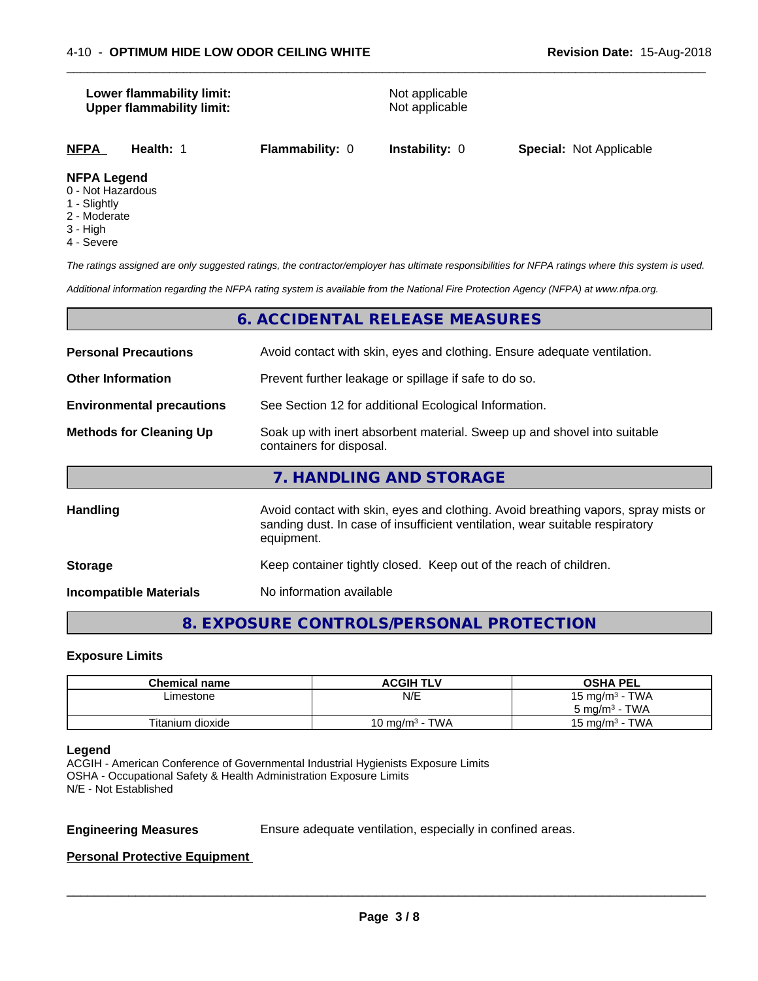# **Lower flammability limit:** Not applicable **Upper flammability limit:** Not applicable

|--|

 $\overline{\phantom{a}}$  ,  $\overline{\phantom{a}}$  ,  $\overline{\phantom{a}}$  ,  $\overline{\phantom{a}}$  ,  $\overline{\phantom{a}}$  ,  $\overline{\phantom{a}}$  ,  $\overline{\phantom{a}}$  ,  $\overline{\phantom{a}}$  ,  $\overline{\phantom{a}}$  ,  $\overline{\phantom{a}}$  ,  $\overline{\phantom{a}}$  ,  $\overline{\phantom{a}}$  ,  $\overline{\phantom{a}}$  ,  $\overline{\phantom{a}}$  ,  $\overline{\phantom{a}}$  ,  $\overline{\phantom{a}}$ 

#### **NFPA Legend**

- 0 Not Hazardous
- 1 Slightly
- 2 Moderate
- 3 High
- 4 Severe

*The ratings assigned are only suggested ratings, the contractor/employer has ultimate responsibilities for NFPA ratings where this system is used.*

*Additional information regarding the NFPA rating system is available from the National Fire Protection Agency (NFPA) at www.nfpa.org.*

# **6. ACCIDENTAL RELEASE MEASURES**

| <b>Personal Precautions</b>      | Avoid contact with skin, eyes and clothing. Ensure adequate ventilation.                                                                                                         |  |
|----------------------------------|----------------------------------------------------------------------------------------------------------------------------------------------------------------------------------|--|
| <b>Other Information</b>         | Prevent further leakage or spillage if safe to do so.                                                                                                                            |  |
| <b>Environmental precautions</b> | See Section 12 for additional Ecological Information.                                                                                                                            |  |
| <b>Methods for Cleaning Up</b>   | Soak up with inert absorbent material. Sweep up and shovel into suitable<br>containers for disposal.                                                                             |  |
|                                  | 7. HANDLING AND STORAGE                                                                                                                                                          |  |
| <b>Handling</b>                  | Avoid contact with skin, eyes and clothing. Avoid breathing vapors, spray mists or<br>sanding dust. In case of insufficient ventilation, wear suitable respiratory<br>equipment. |  |
| <b>Storage</b>                   | Keep container tightly closed. Keep out of the reach of children.                                                                                                                |  |

**Incompatible Materials** No information available

# **8. EXPOSURE CONTROLS/PERSONAL PROTECTION**

#### **Exposure Limits**

| <b>Chemical name</b> | <b>ACGIH TLV</b>  | <b>OSHA PEL</b>          |
|----------------------|-------------------|--------------------------|
| ∟imestone            | N/E               | 15 mg/m $3$ - TWA        |
|                      |                   | $5 \text{ mg/m}^3$ - TWA |
| Titanium dioxide     | 10 mg/m $3$ - TWA | 15 mg/m $3$ - TWA        |

#### **Legend**

ACGIH - American Conference of Governmental Industrial Hygienists Exposure Limits OSHA - Occupational Safety & Health Administration Exposure Limits N/E - Not Established

**Engineering Measures** Ensure adequate ventilation, especially in confined areas.

 $\overline{\phantom{a}}$  ,  $\overline{\phantom{a}}$  ,  $\overline{\phantom{a}}$  ,  $\overline{\phantom{a}}$  ,  $\overline{\phantom{a}}$  ,  $\overline{\phantom{a}}$  ,  $\overline{\phantom{a}}$  ,  $\overline{\phantom{a}}$  ,  $\overline{\phantom{a}}$  ,  $\overline{\phantom{a}}$  ,  $\overline{\phantom{a}}$  ,  $\overline{\phantom{a}}$  ,  $\overline{\phantom{a}}$  ,  $\overline{\phantom{a}}$  ,  $\overline{\phantom{a}}$  ,  $\overline{\phantom{a}}$ 

#### **Personal Protective Equipment**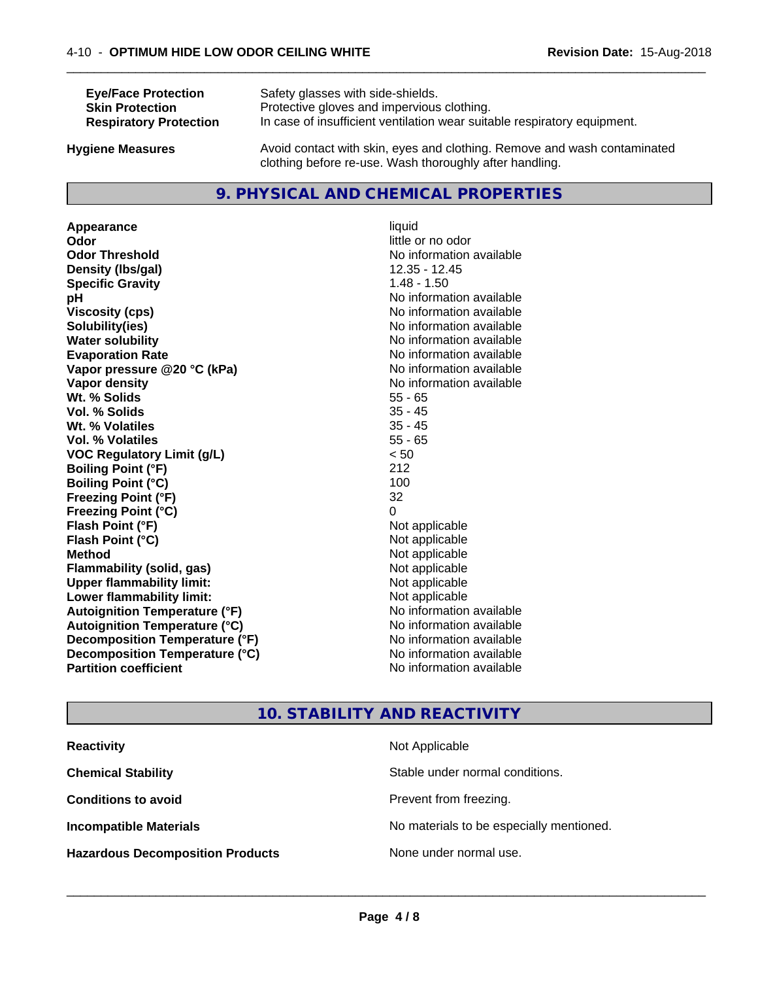| <b>Eye/Face Protection</b>    | Safety glasses with side-shields.                                        |
|-------------------------------|--------------------------------------------------------------------------|
| <b>Skin Protection</b>        | Protective gloves and impervious clothing.                               |
| <b>Respiratory Protection</b> | In case of insufficient ventilation wear suitable respiratory equipment. |
| Ivaiana Maseurae              | Avoid contact with skin, eves and clothing. Remove and wash contaminated |

**Hygiene Measures** Avoid contact with skin, eyes and clothing. Remove and wash contaminated clothing before re-use. Wash thoroughly after handling.

 $\overline{\phantom{a}}$  ,  $\overline{\phantom{a}}$  ,  $\overline{\phantom{a}}$  ,  $\overline{\phantom{a}}$  ,  $\overline{\phantom{a}}$  ,  $\overline{\phantom{a}}$  ,  $\overline{\phantom{a}}$  ,  $\overline{\phantom{a}}$  ,  $\overline{\phantom{a}}$  ,  $\overline{\phantom{a}}$  ,  $\overline{\phantom{a}}$  ,  $\overline{\phantom{a}}$  ,  $\overline{\phantom{a}}$  ,  $\overline{\phantom{a}}$  ,  $\overline{\phantom{a}}$  ,  $\overline{\phantom{a}}$ 

# **9. PHYSICAL AND CHEMICAL PROPERTIES**

**Appearance** liquid **Odor** little or no odor **Odor Threshold** No information available **Density (Ibs/gal)** 12.35 - 12.45<br> **Specific Gravity** 1.48 - 1.50 **Specific Gravity pH pH**  $\blacksquare$ **Viscosity (cps)** No information available<br> **Solubility (ies)** No information available<br>
No information available **Solubility(ies)**<br> **No information available**<br> **Water solubility**<br> **Water solubility Evaporation Rate Evaporation Rate No information available Vapor pressure @20 °C (kPa)** No information available **Vapor density** No information available values and values of  $\alpha$  No information available **Wt. % Solids** 55 - 65 **Vol. % Solids Wt. % Volatiles** 35 - 45 **Vol. % Volatiles** 55 - 65 **VOC Regulatory Limit (g/L)** < 50 **Boiling Point (°F)** 212 **Boiling Point**  $(^{\circ}C)$  100 **Freezing Point (°F)** 32 **Freezing Point (°C)** 0 **Flash Point (°F)** Not applicable **Flash Point (°C)** Not applicable **Method** Not applicable<br> **Flammability (solid, gas)** Not applicable Not applicable **Flammability** (solid, gas) **Upper flammability limit:**<br> **Lower flammability limit:** Not applicable Not applicable **Lower flammability limit:**<br> **Autoignition Temperature (°F)** Not applicable Not applicable **Autoignition Temperature (°F) Autoignition Temperature (°C)** No information available **Decomposition Temperature (°F)** No information available **Decomposition Temperature (°C)**<br> **Partition coefficient**<br> **Partition coefficient**<br> **Partition coefficient** 

**No information available No information available** 

# **10. STABILITY AND REACTIVITY**

| <b>Reactivity</b>                       | Not Applicable                           |
|-----------------------------------------|------------------------------------------|
| <b>Chemical Stability</b>               | Stable under normal conditions.          |
| <b>Conditions to avoid</b>              | Prevent from freezing.                   |
| <b>Incompatible Materials</b>           | No materials to be especially mentioned. |
| <b>Hazardous Decomposition Products</b> | None under normal use.                   |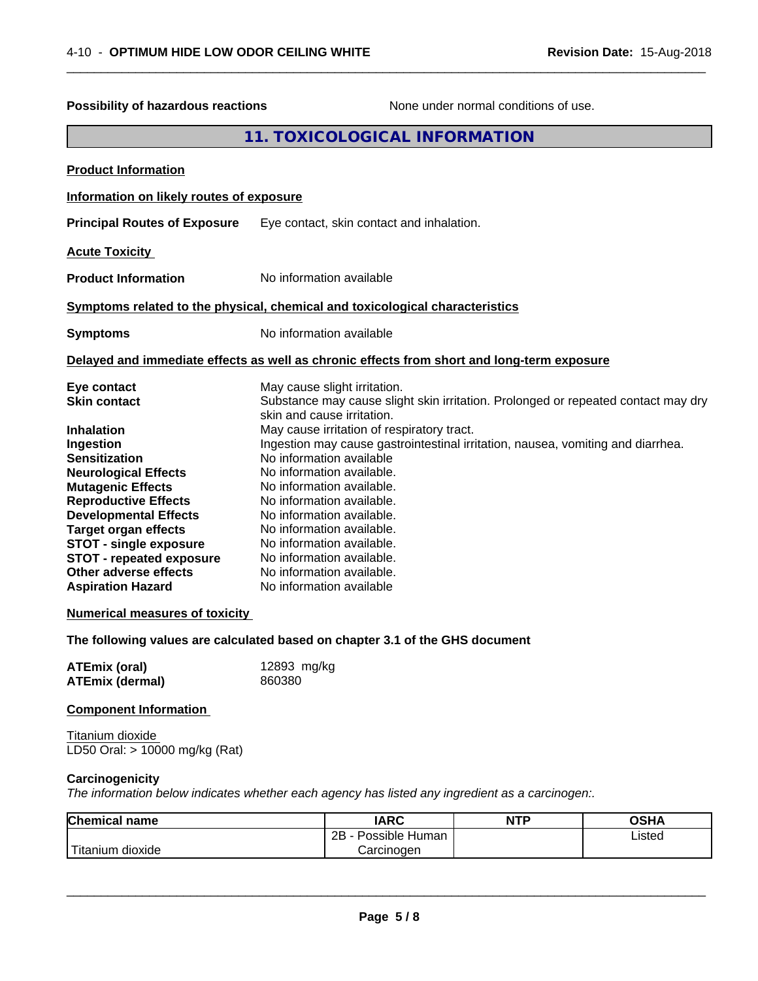| <b>Possibility of hazardous reactions</b>                                                                                                                                                                                                                                                                                                                                                                                                                                                                                                                                                                                                                                                                                                                                                                                                                                                                                                                                                                   |  |                                           | None under normal conditions of use. |             |  |
|-------------------------------------------------------------------------------------------------------------------------------------------------------------------------------------------------------------------------------------------------------------------------------------------------------------------------------------------------------------------------------------------------------------------------------------------------------------------------------------------------------------------------------------------------------------------------------------------------------------------------------------------------------------------------------------------------------------------------------------------------------------------------------------------------------------------------------------------------------------------------------------------------------------------------------------------------------------------------------------------------------------|--|-------------------------------------------|--------------------------------------|-------------|--|
|                                                                                                                                                                                                                                                                                                                                                                                                                                                                                                                                                                                                                                                                                                                                                                                                                                                                                                                                                                                                             |  | 11. TOXICOLOGICAL INFORMATION             |                                      |             |  |
| <b>Product Information</b>                                                                                                                                                                                                                                                                                                                                                                                                                                                                                                                                                                                                                                                                                                                                                                                                                                                                                                                                                                                  |  |                                           |                                      |             |  |
| Information on likely routes of exposure                                                                                                                                                                                                                                                                                                                                                                                                                                                                                                                                                                                                                                                                                                                                                                                                                                                                                                                                                                    |  |                                           |                                      |             |  |
| <b>Principal Routes of Exposure</b>                                                                                                                                                                                                                                                                                                                                                                                                                                                                                                                                                                                                                                                                                                                                                                                                                                                                                                                                                                         |  | Eye contact, skin contact and inhalation. |                                      |             |  |
| <b>Acute Toxicity</b>                                                                                                                                                                                                                                                                                                                                                                                                                                                                                                                                                                                                                                                                                                                                                                                                                                                                                                                                                                                       |  |                                           |                                      |             |  |
| <b>Product Information</b>                                                                                                                                                                                                                                                                                                                                                                                                                                                                                                                                                                                                                                                                                                                                                                                                                                                                                                                                                                                  |  | No information available                  |                                      |             |  |
| Symptoms related to the physical, chemical and toxicological characteristics                                                                                                                                                                                                                                                                                                                                                                                                                                                                                                                                                                                                                                                                                                                                                                                                                                                                                                                                |  |                                           |                                      |             |  |
| <b>Symptoms</b>                                                                                                                                                                                                                                                                                                                                                                                                                                                                                                                                                                                                                                                                                                                                                                                                                                                                                                                                                                                             |  | No information available                  |                                      |             |  |
| Delayed and immediate effects as well as chronic effects from short and long-term exposure                                                                                                                                                                                                                                                                                                                                                                                                                                                                                                                                                                                                                                                                                                                                                                                                                                                                                                                  |  |                                           |                                      |             |  |
| May cause slight irritation.<br>Eye contact<br>Substance may cause slight skin irritation. Prolonged or repeated contact may dry<br><b>Skin contact</b><br>skin and cause irritation.<br>May cause irritation of respiratory tract.<br><b>Inhalation</b><br>Ingestion may cause gastrointestinal irritation, nausea, vomiting and diarrhea.<br>Ingestion<br>No information available<br><b>Sensitization</b><br>No information available.<br><b>Neurological Effects</b><br><b>Mutagenic Effects</b><br>No information available.<br><b>Reproductive Effects</b><br>No information available.<br><b>Developmental Effects</b><br>No information available.<br><b>Target organ effects</b><br>No information available.<br><b>STOT - single exposure</b><br>No information available.<br><b>STOT - repeated exposure</b><br>No information available.<br>Other adverse effects<br>No information available.<br><b>Aspiration Hazard</b><br>No information available<br><b>Numerical measures of toxicity</b> |  |                                           |                                      |             |  |
| The following values are calculated based on chapter 3.1 of the GHS document<br>12893 mg/kg<br><b>ATEmix (oral)</b>                                                                                                                                                                                                                                                                                                                                                                                                                                                                                                                                                                                                                                                                                                                                                                                                                                                                                         |  |                                           |                                      |             |  |
| <b>ATEmix (dermal)</b><br>860380                                                                                                                                                                                                                                                                                                                                                                                                                                                                                                                                                                                                                                                                                                                                                                                                                                                                                                                                                                            |  |                                           |                                      |             |  |
| <b>Component Information</b>                                                                                                                                                                                                                                                                                                                                                                                                                                                                                                                                                                                                                                                                                                                                                                                                                                                                                                                                                                                |  |                                           |                                      |             |  |
| Titanium dioxide<br>LD50 Oral: > 10000 mg/kg (Rat)                                                                                                                                                                                                                                                                                                                                                                                                                                                                                                                                                                                                                                                                                                                                                                                                                                                                                                                                                          |  |                                           |                                      |             |  |
| Carcinogenicity<br>The information below indicates whether each agency has listed any ingredient as a carcinogen:.                                                                                                                                                                                                                                                                                                                                                                                                                                                                                                                                                                                                                                                                                                                                                                                                                                                                                          |  |                                           |                                      |             |  |
| Chemical name                                                                                                                                                                                                                                                                                                                                                                                                                                                                                                                                                                                                                                                                                                                                                                                                                                                                                                                                                                                               |  | <b>IARC</b>                               | <b>NTP</b>                           | <b>OSHA</b> |  |
| Titanium dioxide                                                                                                                                                                                                                                                                                                                                                                                                                                                                                                                                                                                                                                                                                                                                                                                                                                                                                                                                                                                            |  | 2B - Possible Human<br>Carcinogen         |                                      | Listed      |  |

 $\overline{\phantom{a}}$  ,  $\overline{\phantom{a}}$  ,  $\overline{\phantom{a}}$  ,  $\overline{\phantom{a}}$  ,  $\overline{\phantom{a}}$  ,  $\overline{\phantom{a}}$  ,  $\overline{\phantom{a}}$  ,  $\overline{\phantom{a}}$  ,  $\overline{\phantom{a}}$  ,  $\overline{\phantom{a}}$  ,  $\overline{\phantom{a}}$  ,  $\overline{\phantom{a}}$  ,  $\overline{\phantom{a}}$  ,  $\overline{\phantom{a}}$  ,  $\overline{\phantom{a}}$  ,  $\overline{\phantom{a}}$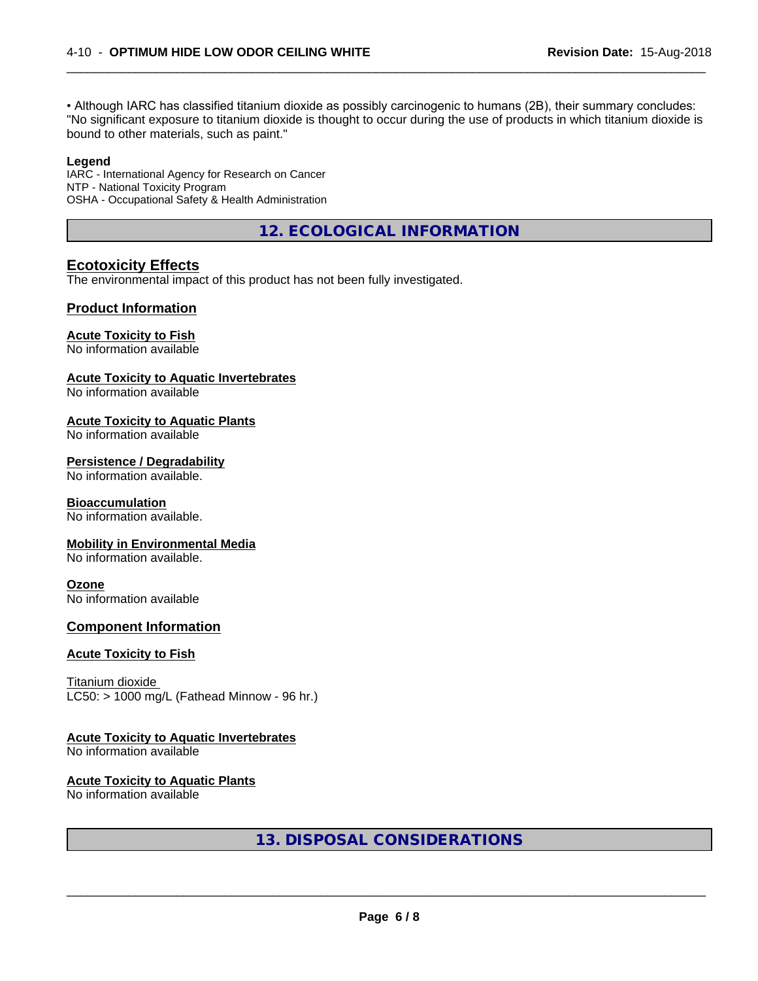• Although IARC has classified titanium dioxide as possibly carcinogenic to humans (2B), their summary concludes: "No significant exposure to titanium dioxide is thought to occur during the use of products in which titanium dioxide is bound to other materials, such as paint."

 $\overline{\phantom{a}}$  ,  $\overline{\phantom{a}}$  ,  $\overline{\phantom{a}}$  ,  $\overline{\phantom{a}}$  ,  $\overline{\phantom{a}}$  ,  $\overline{\phantom{a}}$  ,  $\overline{\phantom{a}}$  ,  $\overline{\phantom{a}}$  ,  $\overline{\phantom{a}}$  ,  $\overline{\phantom{a}}$  ,  $\overline{\phantom{a}}$  ,  $\overline{\phantom{a}}$  ,  $\overline{\phantom{a}}$  ,  $\overline{\phantom{a}}$  ,  $\overline{\phantom{a}}$  ,  $\overline{\phantom{a}}$ 

#### **Legend**

IARC - International Agency for Research on Cancer NTP - National Toxicity Program OSHA - Occupational Safety & Health Administration

**12. ECOLOGICAL INFORMATION**

# **Ecotoxicity Effects**

The environmental impact of this product has not been fully investigated.

### **Product Information**

#### **Acute Toxicity to Fish**

No information available

#### **Acute Toxicity to Aquatic Invertebrates**

No information available

#### **Acute Toxicity to Aquatic Plants**

No information available

#### **Persistence / Degradability**

No information available.

#### **Bioaccumulation**

No information available.

#### **Mobility in Environmental Media**

No information available.

#### **Ozone**

No information available

#### **Component Information**

#### **Acute Toxicity to Fish**

Titanium dioxide  $LC50:$  > 1000 mg/L (Fathead Minnow - 96 hr.)

#### **Acute Toxicity to Aquatic Invertebrates**

No information available

#### **Acute Toxicity to Aquatic Plants**

No information available

# **13. DISPOSAL CONSIDERATIONS**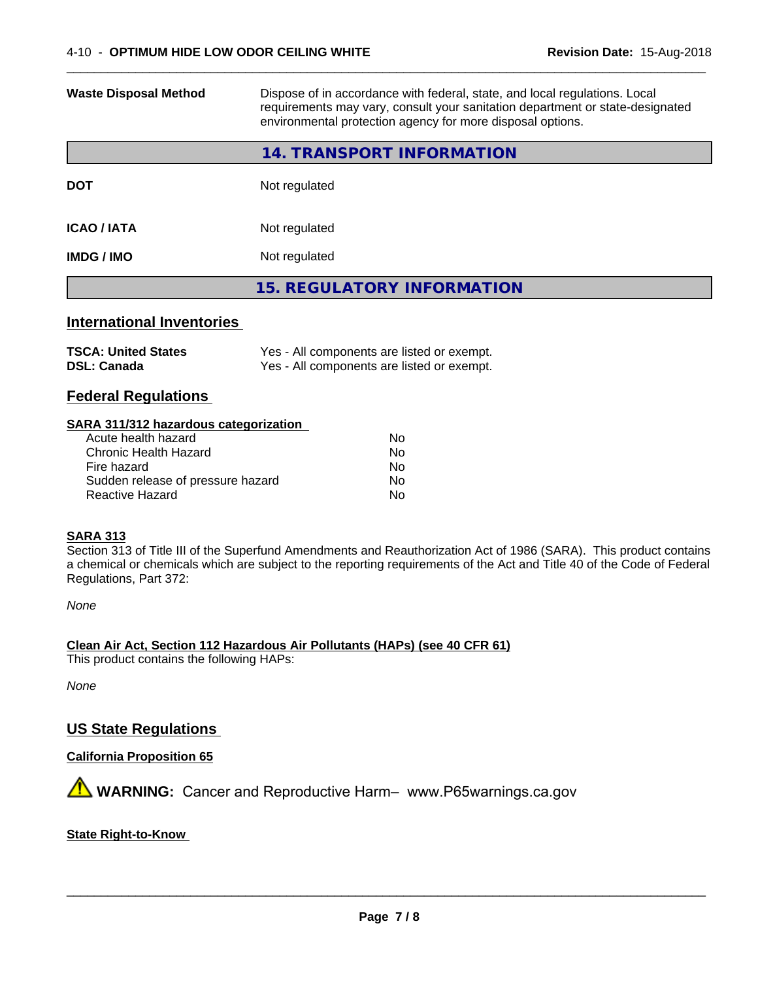| <b>Waste Disposal Method</b>     | Dispose of in accordance with federal, state, and local regulations. Local<br>requirements may vary, consult your sanitation department or state-designated<br>environmental protection agency for more disposal options. |
|----------------------------------|---------------------------------------------------------------------------------------------------------------------------------------------------------------------------------------------------------------------------|
|                                  | 14. TRANSPORT INFORMATION                                                                                                                                                                                                 |
| <b>DOT</b>                       | Not regulated                                                                                                                                                                                                             |
| <b>ICAO / IATA</b>               | Not regulated                                                                                                                                                                                                             |
| <b>IMDG / IMO</b>                | Not regulated                                                                                                                                                                                                             |
|                                  | <b>15. REGULATORY INFORMATION</b>                                                                                                                                                                                         |
| <b>International Inventories</b> |                                                                                                                                                                                                                           |
|                                  |                                                                                                                                                                                                                           |

 $\overline{\phantom{a}}$  ,  $\overline{\phantom{a}}$  ,  $\overline{\phantom{a}}$  ,  $\overline{\phantom{a}}$  ,  $\overline{\phantom{a}}$  ,  $\overline{\phantom{a}}$  ,  $\overline{\phantom{a}}$  ,  $\overline{\phantom{a}}$  ,  $\overline{\phantom{a}}$  ,  $\overline{\phantom{a}}$  ,  $\overline{\phantom{a}}$  ,  $\overline{\phantom{a}}$  ,  $\overline{\phantom{a}}$  ,  $\overline{\phantom{a}}$  ,  $\overline{\phantom{a}}$  ,  $\overline{\phantom{a}}$ 

| <b>TSCA: United States</b> | Yes - All components are listed or exempt. |
|----------------------------|--------------------------------------------|
| <b>DSL: Canada</b>         | Yes - All components are listed or exempt. |

# **Federal Regulations**

#### **SARA 311/312 hazardous categorization**

| Acute health hazard               | Nο |
|-----------------------------------|----|
| Chronic Health Hazard             | Nο |
| Fire hazard                       | Nο |
| Sudden release of pressure hazard | Nο |
| Reactive Hazard                   | N٥ |

#### **SARA 313**

Section 313 of Title III of the Superfund Amendments and Reauthorization Act of 1986 (SARA). This product contains a chemical or chemicals which are subject to the reporting requirements of the Act and Title 40 of the Code of Federal Regulations, Part 372:

*None*

**Clean Air Act,Section 112 Hazardous Air Pollutants (HAPs) (see 40 CFR 61)** This product contains the following HAPs:

*None*

# **US State Regulations**

# **California Proposition 65**

**AN** WARNING: Cancer and Reproductive Harm– www.P65warnings.ca.gov

## **State Right-to-Know**